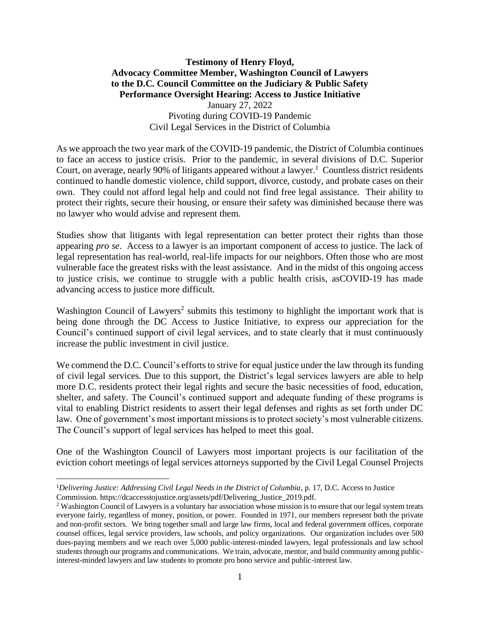## **Testimony of Henry Floyd, Advocacy Committee Member, Washington Council of Lawyers to the D.C. Council Committee on the Judiciary & Public Safety Performance Oversight Hearing: Access to Justice Initiative** January 27, 2022 Pivoting during COVID-19 Pandemic Civil Legal Services in the District of Columbia

As we approach the two year mark of the COVID-19 pandemic, the District of Columbia continues to face an access to justice crisis. Prior to the pandemic, in several divisions of D.C. Superior Court, on average, nearly 90% of litigants appeared without a lawyer.<sup>1</sup> Countless district residents continued to handle domestic violence, child support, divorce, custody, and probate cases on their own. They could not afford legal help and could not find free legal assistance. Their ability to protect their rights, secure their housing, or ensure their safety was diminished because there was no lawyer who would advise and represent them.

Studies show that litigants with legal representation can better protect their rights than those appearing *pro se*. Access to a lawyer is an important component of access to justice. The lack of legal representation has real-world, real-life impacts for our neighbors. Often those who are most vulnerable face the greatest risks with the least assistance. And in the midst of this ongoing access to justice crisis, we continue to struggle with a public health crisis, asCOVID-19 has made advancing access to justice more difficult.

Washington Council of Lawyers<sup>2</sup> submits this testimony to highlight the important work that is being done through the DC Access to Justice Initiative, to express our appreciation for the Council's continued support of civil legal services, and to state clearly that it must continuously increase the public investment in civil justice.

We commend the D.C. Council's efforts to strive for equal justice under the law through its funding of civil legal services. Due to this support, the District's legal services lawyers are able to help more D.C. residents protect their legal rights and secure the basic necessities of food, education, shelter, and safety. The Council's continued support and adequate funding of these programs is vital to enabling District residents to assert their legal defenses and rights as set forth under DC law. One of government's most important missions is to protect society's most vulnerable citizens. The Council's support of legal services has helped to meet this goal.

One of the Washington Council of Lawyers most important projects is our facilitation of the eviction cohort meetings of legal services attorneys supported by the Civil Legal Counsel Projects

<sup>&</sup>lt;sup>1</sup>Delivering Justice: Addressing Civil Legal Needs in the District of Columbia, p. 17, D.C. Access to Justice Commission. https://dcaccesstojustice.org/assets/pdf/Delivering\_Justice\_2019.pdf.

<sup>&</sup>lt;sup>2</sup> Washington Council of Lawyers is a voluntary bar association whose mission is to ensure that our legal system treats everyone fairly, regardless of money, position, or power. Founded in 1971, our members represent both the private and non-profit sectors. We bring together small and large law firms, local and federal government offices, corporate counsel offices, legal service providers, law schools, and policy organizations. Our organization includes over 500 dues-paying members and we reach over 5,000 public-interest-minded lawyers, legal professionals and law school students through our programs and communications. We train, advocate, mentor, and build community among publicinterest-minded lawyers and law students to promote pro bono service and public-interest law.